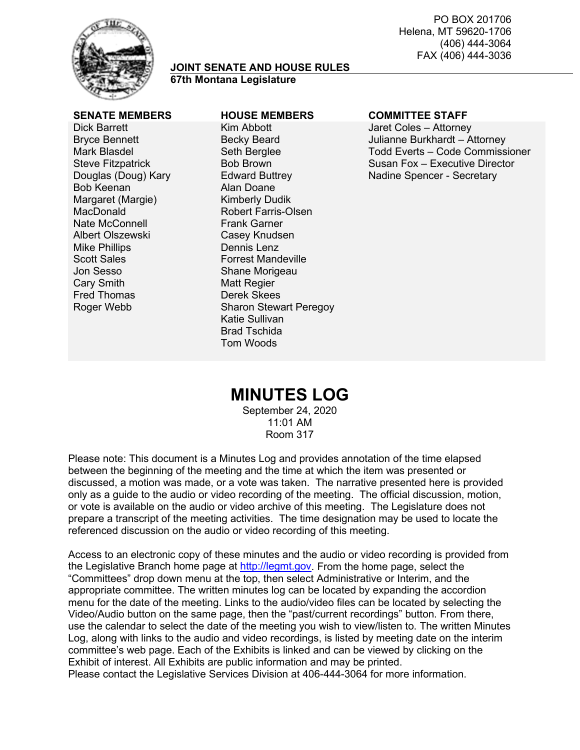

#### **JOINT SENATE AND HOUSE RULES 67th Montana Legislature**

Dick Barrett Bryce Bennett Mark Blasdel Steve Fitzpatrick Douglas (Doug) Kary Bob Keenan Margaret (Margie) MacDonald Nate McConnell Albert Olszewski Mike Phillips Scott Sales Jon Sesso Cary Smith Fred Thomas Roger Webb

## **SENATE MEMBERS HOUSE MEMBERS COMMITTEE STAFF**

Kim Abbott Becky Beard Seth Berglee Bob Brown Edward Buttrey Alan Doane Kimberly Dudik Robert Farris-Olsen Frank Garner Casey Knudsen Dennis Lenz Forrest Mandeville Shane Morigeau Matt Regier Derek Skees Sharon Stewart Peregoy Katie Sullivan Brad Tschida Tom Woods

Jaret Coles – Attorney Julianne Burkhardt – Attorney Todd Everts – Code Commissioner Susan Fox – Executive Director Nadine Spencer - Secretary

# **MINUTES LOG**

September 24, 2020 11:01 AM Room 317

Please note: This document is a Minutes Log and provides annotation of the time elapsed between the beginning of the meeting and the time at which the item was presented or discussed, a motion was made, or a vote was taken. The narrative presented here is provided only as a guide to the audio or video recording of the meeting. The official discussion, motion, or vote is available on the audio or video archive of this meeting. The Legislature does not prepare a transcript of the meeting activities. The time designation may be used to locate the referenced discussion on the audio or video recording of this meeting.

Access to an electronic copy of these minutes and the audio or video recording is provided from the Legislative Branch home page at [http://legmt.gov.](http://legmt.gov/) From the home page, select the "Committees" drop down menu at the top, then select Administrative or Interim, and the appropriate committee. The written minutes log can be located by expanding the accordion menu for the date of the meeting. Links to the audio/video files can be located by selecting the Video/Audio button on the same page, then the "past/current recordings" button. From there, use the calendar to select the date of the meeting you wish to view/listen to. The written Minutes Log, along with links to the audio and video recordings, is listed by meeting date on the interim committee's web page. Each of the Exhibits is linked and can be viewed by clicking on the Exhibit of interest. All Exhibits are public information and may be printed. Please contact the Legislative Services Division at 406-444-3064 for more information.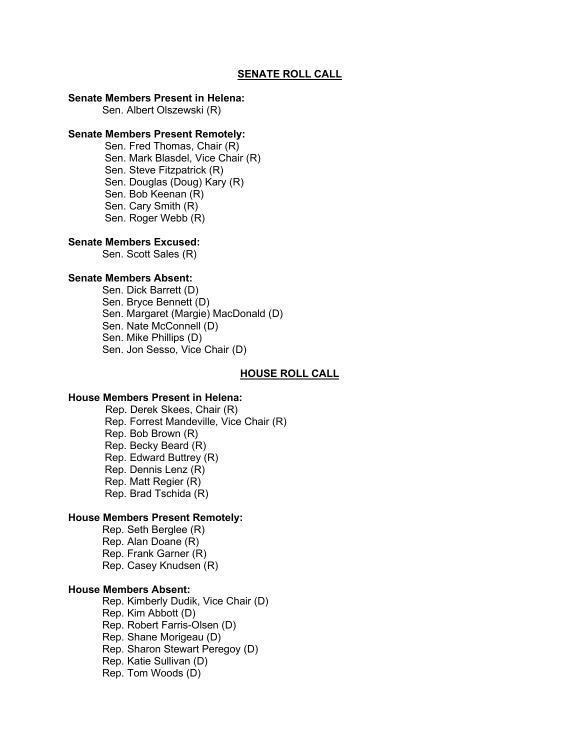#### **SENATE ROLL CALL**

## **Senate Members Present in Helena:**

Sen. Albert Olszewski (R)

## **Senate Members Present Remotely:**

Sen. Fred Thomas, Chair (R) Sen. Mark Blasdel, Vice Chair (R) Sen. Steve Fitzpatrick (R) Sen. Douglas (Doug) Kary (R) Sen. Bob Keenan (R) Sen. Cary Smith (R) Sen. Roger Webb (R)

#### **Senate Members Excused:**

Sen. Scott Sales (R)

#### **Senate Members Absent:**

Sen. Dick Barrett (D) Sen. Bryce Bennett (D) Sen. Margaret (Margie) MacDonald (D) Sen. Nate McConnell (D) Sen. Mike Phillips (D) Sen. Jon Sesso, Vice Chair (D)

#### **HOUSE ROLL CALL**

#### **House Members Present in Helena:**

Rep. Derek Skees, Chair (R) Rep. Forrest Mandeville, Vice Chair (R) Rep. Bob Brown (R) Rep. Becky Beard (R) Rep. Edward Buttrey (R) Rep. Dennis Lenz (R) Rep. Matt Regier (R) Rep. Brad Tschida (R)

## **House Members Present Remotely:**

Rep. Seth Berglee (R) Rep. Alan Doane (R) Rep. Frank Garner (R) Rep. Casey Knudsen (R)

## **House Members Absent:**

Rep. Kimberly Dudik, Vice Chair (D) Rep. Kim Abbott (D) Rep. Robert Farris-Olsen (D) Rep. Shane Morigeau (D) Rep. Sharon Stewart Peregoy (D) Rep. Katie Sullivan (D) Rep. Tom Woods (D)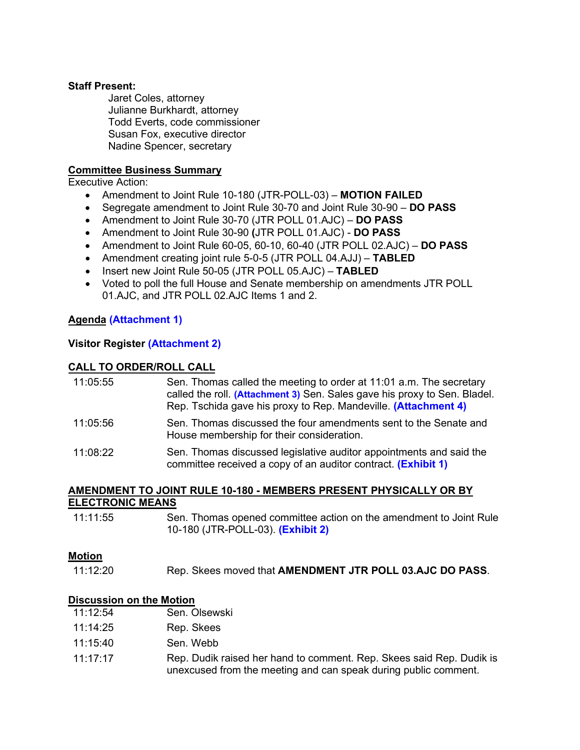## **Staff Present:**

Jaret Coles, attorney Julianne Burkhardt, attorney Todd Everts, code commissioner Susan Fox, executive director Nadine Spencer, secretary

## **Committee Business Summary**

Executive Action:

- Amendment to Joint Rule 10-180 (JTR-POLL-03) **MOTION FAILED**
- Segregate amendment to Joint Rule 30-70 and Joint Rule 30-90 **DO PASS**
- Amendment to Joint Rule 30-70 (JTR POLL 01.AJC) **DO PASS**
- Amendment to Joint Rule 30-90 **(**JTR POLL 01.AJC) **DO PASS**
- Amendment to Joint Rule 60-05, 60-10, 60-40 (JTR POLL 02.AJC) **DO PASS**
- Amendment creating joint rule 5-0-5 (JTR POLL 04.AJJ) **TABLED**
- Insert new Joint Rule 50-05 (JTR POLL 05.AJC) **TABLED**
- Voted to poll the full House and Senate membership on amendments JTR POLL 01.AJC, and JTR POLL 02.AJC Items 1 and 2.

## **Agenda [\(Attachment 1\)](https://leg.mt.gov/content/Committees/Administration/Legislative-Council/2019-20/Meetings/JRules9-17/Agenda9-24.pdf)**

## **Visitor Register [\(Attachment 2\)](https://leg.mt.gov/content/Committees/Administration/Legislative-Council/2019-20/Meetings/JRules9-17/Exhibits/Attachment2.pdf)**

## **CALL TO ORDER/ROLL CALL**

| 11:05:55 | Sen. Thomas called the meeting to order at 11:01 a.m. The secretary<br>called the roll. (Attachment 3) Sen. Sales gave his proxy to Sen. Bladel.<br>Rep. Tschida gave his proxy to Rep. Mandeville. (Attachment 4) |
|----------|--------------------------------------------------------------------------------------------------------------------------------------------------------------------------------------------------------------------|
| 11:05:56 | Sen. Thomas discussed the four amendments sent to the Senate and<br>House membership for their consideration.                                                                                                      |
| 11:08:22 | Sen. Thomas discussed legislative auditor appointments and said the<br>committee received a copy of an auditor contract. (Exhibit 1)                                                                               |

#### **AMENDMENT TO JOINT RULE 10-180 - MEMBERS PRESENT PHYSICALLY OR BY ELECTRONIC MEANS**

11:11:55 Sen. Thomas opened committee action on the amendment to Joint Rule 10-180 (JTR-POLL-03). **[\(Exhibit 2\)](https://leg.mt.gov/content/Committees/Administration/Legislative-Council/2019-20/Meetings/JRules9-17/JT-Poll-3-remote-authorized-mailout-agenda-item-3-FINAL.pdf)**

#### **Motion**

11:12:20 Rep. Skees moved that **AMENDMENT JTR POLL 03.AJC DO PASS**.

#### **Discussion on the Motion**

| 11:12:54 | Sen. Olsewski |
|----------|---------------|
|----------|---------------|

- 11:14:25 Rep. Skees
- 11:15:40 Sen. Webb
- 11:17:17 Rep. Dudik raised her hand to comment. Rep. Skees said Rep. Dudik is unexcused from the meeting and can speak during public comment.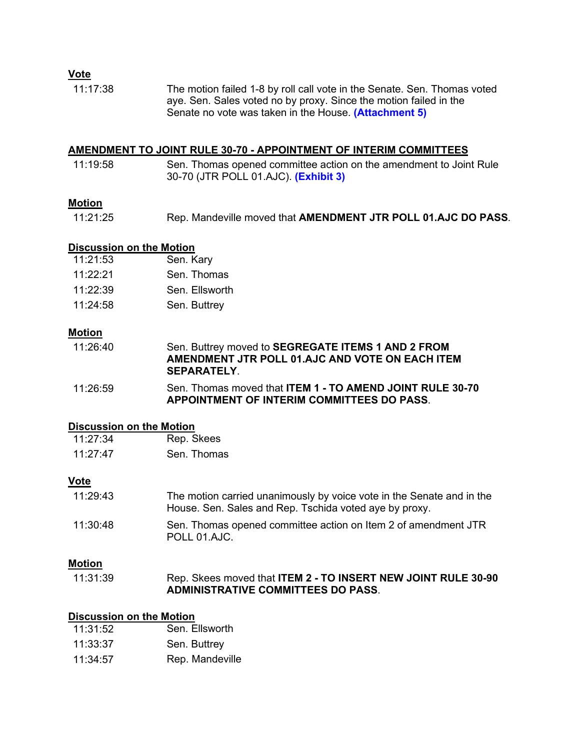## **Vote**

11:17:38 The motion failed 1-8 by roll call vote in the Senate. Sen. Thomas voted aye. Sen. Sales voted no by proxy. Since the motion failed in the Senate no vote was taken in the House. **[\(Attachment](https://leg.mt.gov/content/Committees/Administration/Legislative-Council/2019-20/Meetings/JRules9-17/Exhibits/Attachment5.pdf) 5)**

#### **AMENDMENT TO JOINT RULE 30-70 - APPOINTMENT OF INTERIM COMMITTEES**

11:19:58 Sen. Thomas opened committee action on the amendment to Joint Rule 30-70 (JTR POLL 01.AJC). **[\(Exhibit 3\)](https://leg.mt.gov/content/Committees/Administration/Legislative-Council/2019-20/Meetings/JRules9-17/JT-Poll-1-exofficio-membership-agenda-item-1-FINAL.pdf)**

## **Motion**

11:21:25 Rep. Mandeville moved that **AMENDMENT JTR POLL 01.AJC DO PASS**.

## **Discussion on the Motion**

| 11:21:53 | Sen. Kary      |
|----------|----------------|
| 11.22.21 | Sen. Thomas    |
| 11.22.39 | Sen. Ellsworth |
| 11:24:58 | Sen. Buttrey   |
|          |                |

## **Motion**

| 11:26:40 | Sen. Buttrey moved to SEGREGATE ITEMS 1 AND 2 FROM |
|----------|----------------------------------------------------|
|          | AMENDMENT JTR POLL 01.AJC AND VOTE ON EACH ITEM    |
|          | <b>SEPARATELY</b>                                  |

11:26:59 Sen. Thomas moved that **ITEM 1 - TO AMEND JOINT RULE 30-70 APPOINTMENT OF INTERIM COMMITTEES DO PASS**.

## **Discussion on the Motion**

| 11:27:34 | Rep. Skees  |
|----------|-------------|
| 11:27:47 | Sen. Thomas |

## **Vote**

| 11:29:43 | The motion carried unanimously by voice vote in the Senate and in the<br>House. Sen. Sales and Rep. Tschida voted aye by proxy. |
|----------|---------------------------------------------------------------------------------------------------------------------------------|
| 11:30:48 | Sen. Thomas opened committee action on Item 2 of amendment JTR<br>POLL 01.AJC.                                                  |

## **Motion**

| 11:31:39 | Rep. Skees moved that ITEM 2 - TO INSERT NEW JOINT RULE 30-90 |
|----------|---------------------------------------------------------------|
|          | <b>ADMINISTRATIVE COMMITTEES DO PASS.</b>                     |

#### **Discussion on the Motion**

| 11:31:52 | Sen. Ellsworth  |
|----------|-----------------|
| 11:33:37 | Sen. Buttrey    |
| 11:34:57 | Rep. Mandeville |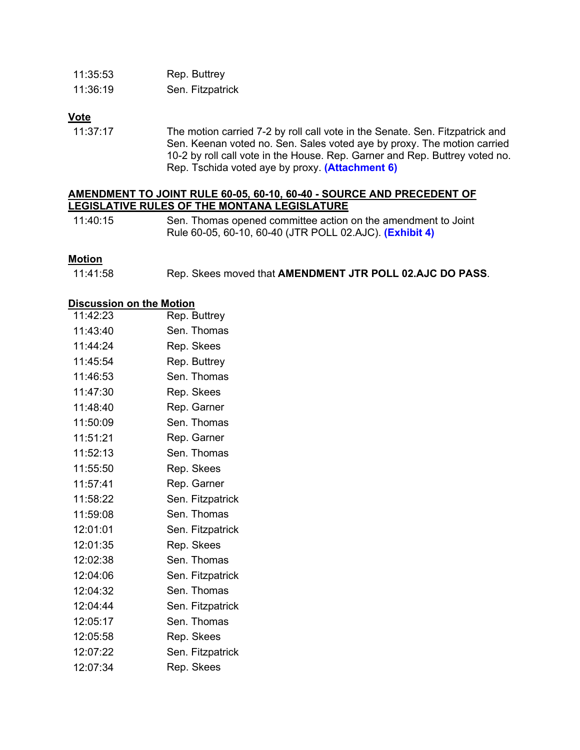| 11:35:53 | Rep. Buttrey     |
|----------|------------------|
| 11:36:19 | Sen. Fitzpatrick |

## **Vote**

11:37:17 The motion carried 7-2 by roll call vote in the Senate. Sen. Fitzpatrick and Sen. Keenan voted no. Sen. Sales voted aye by proxy. The motion carried 10-2 by roll call vote in the House. Rep. Garner and Rep. Buttrey voted no. Rep. Tschida voted aye by proxy. **[\(Attachment](https://leg.mt.gov/content/Committees/Administration/Legislative-Council/2019-20/Meetings/JRules9-17/Exhibits/Attachment6.pdf) 6)**

## **AMENDMENT TO JOINT RULE 60-05, 60-10, 60-40 - SOURCE AND PRECEDENT OF LEGISLATIVE RULES OF THE MONTANA LEGISLATURE**

11:40:15 Sen. Thomas opened committee action on the amendment to Joint Rule 60-05, 60-10, 60-40 (JTR POLL 02.AJC). **[\(Exhibit 4\)](https://leg.mt.gov/content/Committees/Administration/Legislative-Council/2019-20/Meetings/JRules9-17/JT-Poll-2-masons-and-amendment-by-poll-agenda-items-2-and-4-FINALpdf.pdf)**

## **Motion**

11:41:58 Rep. Skees moved that **AMENDMENT JTR POLL 02.AJC DO PASS**.

#### **Discussion on the Motion**

| 11:42:23 | Rep. Buttrey     |
|----------|------------------|
| 11:43:40 | Sen. Thomas      |
| 11:44:24 | Rep. Skees       |
| 11:45:54 | Rep. Buttrey     |
| 11:46:53 | Sen. Thomas      |
| 11:47:30 | Rep. Skees       |
| 11:48:40 | Rep. Garner      |
| 11:50:09 | Sen. Thomas      |
| 11:51:21 | Rep. Garner      |
| 11:52:13 | Sen. Thomas      |
| 11:55:50 | Rep. Skees       |
| 11:57:41 | Rep. Garner      |
| 11:58:22 | Sen. Fitzpatrick |
| 11:59:08 | Sen. Thomas      |
| 12:01:01 | Sen. Fitzpatrick |
| 12:01:35 | Rep. Skees       |
| 12:02:38 | Sen. Thomas      |
| 12:04:06 | Sen. Fitzpatrick |
| 12:04:32 | Sen. Thomas      |
| 12:04:44 | Sen. Fitzpatrick |
| 12:05:17 | Sen. Thomas      |
| 12:05:58 | Rep. Skees       |
| 12:07:22 | Sen. Fitzpatrick |
| 12:07:34 | Rep. Skees       |
|          |                  |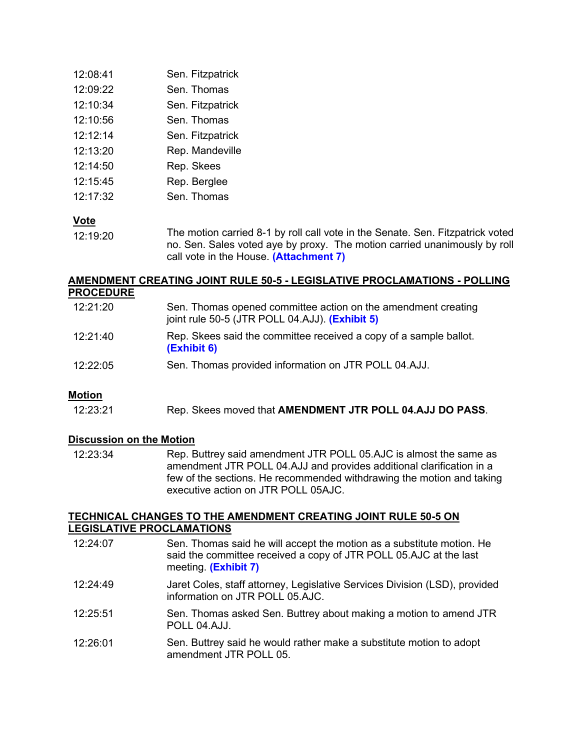| 12:08:41 | Sen. Fitzpatrick |
|----------|------------------|
| 12:09:22 | Sen. Thomas      |
| 12:10:34 | Sen. Fitzpatrick |
| 12:10:56 | Sen. Thomas      |
| 12:12:14 | Sen. Fitzpatrick |
| 12:13:20 | Rep. Mandeville  |
| 12:14:50 | Rep. Skees       |
| 12:15:45 | Rep. Berglee     |
| 12:17:32 | Sen. Thomas      |

## **Vote**

12:19:20 The motion carried 8-1 by roll call vote in the Senate. Sen. Fitzpatrick voted no. Sen. Sales voted aye by proxy. The motion carried unanimously by roll call vote in the House. **[\(Attachment 7\)](https://leg.mt.gov/content/Committees/Administration/Legislative-Council/2019-20/Meetings/JRules9-17/Exhibits/Attachment7.pdf)**

## **AMENDMENT CREATING JOINT RULE 50-5 - LEGISLATIVE PROCLAMATIONS - POLLING PROCEDURE**

| 12:21:20 | Sen. Thomas opened committee action on the amendment creating<br>joint rule 50-5 (JTR POLL 04.AJJ). (Exhibit 5) |
|----------|-----------------------------------------------------------------------------------------------------------------|
| 12:21:40 | Rep. Skees said the committee received a copy of a sample ballot.<br>(Exhibit 6)                                |
| 12:22:05 | Sen. Thomas provided information on JTR POLL 04.AJJ.                                                            |

## **Motion**

12:23:21 Rep. Skees moved that **AMENDMENT JTR POLL 04.AJJ DO PASS**.

## **Discussion on the Motion**

12:23:34 Rep. Buttrey said amendment JTR POLL 05.AJC is almost the same as amendment JTR POLL 04.AJJ and provides additional clarification in a few of the sections. He recommended withdrawing the motion and taking executive action on JTR POLL 05AJC.

#### **TECHNICAL CHANGES TO THE AMENDMENT CREATING JOINT RULE 50-5 ON LEGISLATIVE PROCLAMATIONS**

| 12:24:07 | Sen. Thomas said he will accept the motion as a substitute motion. He<br>said the committee received a copy of JTR POLL 05.AJC at the last<br>meeting. (Exhibit 7) |
|----------|--------------------------------------------------------------------------------------------------------------------------------------------------------------------|
| 12:24:49 | Jaret Coles, staff attorney, Legislative Services Division (LSD), provided<br>information on JTR POLL 05.AJC.                                                      |
| 12:25:51 | Sen. Thomas asked Sen. Buttrey about making a motion to amend JTR<br>POLL 04.AJJ.                                                                                  |
| 12:26:01 | Sen. Buttrey said he would rather make a substitute motion to adopt<br>amendment JTR POLL 05.                                                                      |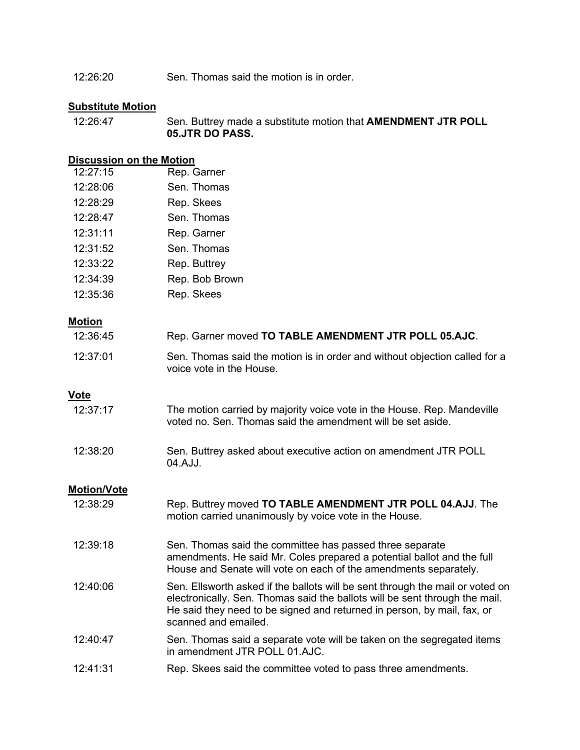12:26:20 Sen. Thomas said the motion is in order.

## **Substitute Motion**

12:26:47 Sen. Buttrey made a substitute motion that **AMENDMENT JTR POLL 05.JTR DO PASS.**

# **Discussion on the Motion**

| 12:27:15 | Rep. Garner    |
|----------|----------------|
| 12:28:06 | Sen. Thomas    |
| 12:28:29 | Rep. Skees     |
| 12:28:47 | Sen. Thomas    |
| 12:31:11 | Rep. Garner    |
| 12:31:52 | Sen. Thomas    |
| 12:33:22 | Rep. Buttrey   |
| 12:34:39 | Rep. Bob Brown |
| 12:35:36 | Rep. Skees     |

## **Motion**

| 12:36:45           | Rep. Garner moved TO TABLE AMENDMENT JTR POLL 05.AJC.                                                                                                                                                                                                           |
|--------------------|-----------------------------------------------------------------------------------------------------------------------------------------------------------------------------------------------------------------------------------------------------------------|
| 12:37:01           | Sen. Thomas said the motion is in order and without objection called for a<br>voice vote in the House.                                                                                                                                                          |
| <b>Vote</b>        |                                                                                                                                                                                                                                                                 |
| 12:37:17           | The motion carried by majority voice vote in the House. Rep. Mandeville<br>voted no. Sen. Thomas said the amendment will be set aside.                                                                                                                          |
| 12:38:20           | Sen. Buttrey asked about executive action on amendment JTR POLL<br>04.AJJ.                                                                                                                                                                                      |
| <b>Motion/Vote</b> |                                                                                                                                                                                                                                                                 |
| 12:38:29           | Rep. Buttrey moved TO TABLE AMENDMENT JTR POLL 04.AJJ. The<br>motion carried unanimously by voice vote in the House.                                                                                                                                            |
| 12:39:18           | Sen. Thomas said the committee has passed three separate<br>amendments. He said Mr. Coles prepared a potential ballot and the full<br>House and Senate will vote on each of the amendments separately.                                                          |
| 12:40:06           | Sen. Ellsworth asked if the ballots will be sent through the mail or voted on<br>electronically. Sen. Thomas said the ballots will be sent through the mail.<br>He said they need to be signed and returned in person, by mail, fax, or<br>scanned and emailed. |
| 12:40:47           | Sen. Thomas said a separate vote will be taken on the segregated items<br>in amendment JTR POLL 01.AJC.                                                                                                                                                         |
| 12:41:31           | Rep. Skees said the committee voted to pass three amendments.                                                                                                                                                                                                   |